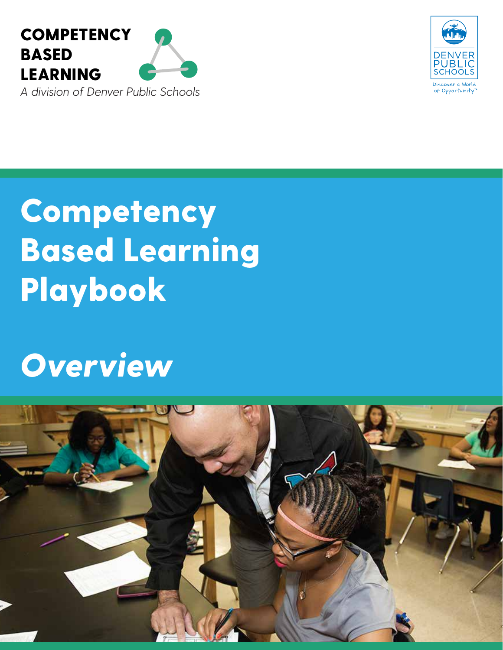



# **Competency** Based Learning Playbook

## *Overview*

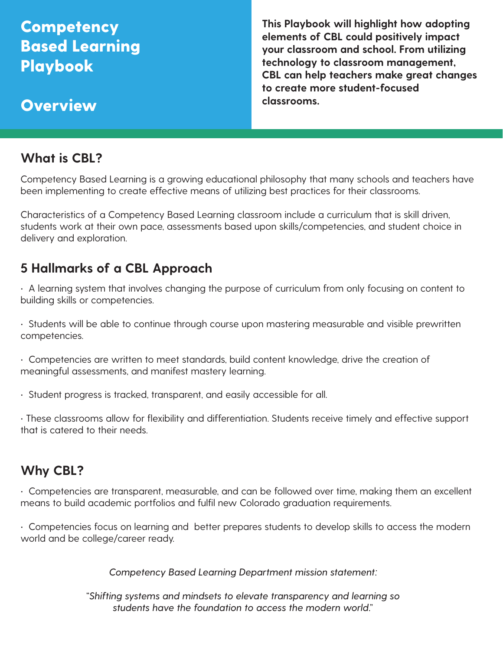## **Competency** Based Learning Playbook

**This Playbook will highlight how adopting elements of CBL could positively impact your classroom and school. From utilizing technology to classroom management, CBL can help teachers make great changes to create more student-focused classrooms.**

## **Overview**

## **What is CBL?**

Competency Based Learning is a growing educational philosophy that many schools and teachers have been implementing to create effective means of utilizing best practices for their classrooms.

Characteristics of a Competency Based Learning classroom include a curriculum that is skill driven, students work at their own pace, assessments based upon skills/competencies, and student choice in delivery and exploration.

## **5 Hallmarks of a CBL Approach**

• A learning system that involves changing the purpose of curriculum from only focusing on content to building skills or competencies.

• Students will be able to continue through course upon mastering measurable and visible prewritten competencies.

• Competencies are written to meet standards, build content knowledge, drive the creation of meaningful assessments, and manifest mastery learning.

• Student progress is tracked, transparent, and easily accessible for all.

• These classrooms allow for flexibility and differentiation. Students receive timely and effective support that is catered to their needs.

## **Why CBL?**

• Competencies are transparent, measurable, and can be followed over time, making them an excellent means to build academic portfolios and fulfil new Colorado graduation requirements.

• Competencies focus on learning and better prepares students to develop skills to access the modern world and be college/career ready.

*Competency Based Learning Department mission statement:*

*"Shifting systems and mindsets to elevate transparency and learning so students have the foundation to access the modern world."*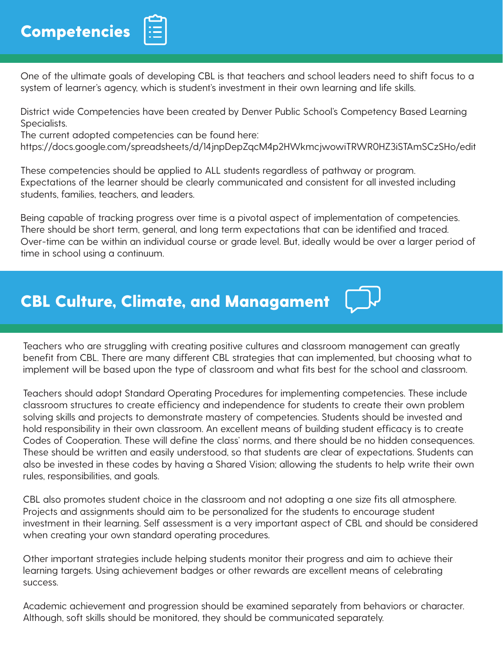

One of the ultimate goals of developing CBL is that teachers and school leaders need to shift focus to a system of learner's agency, which is student's investment in their own learning and life skills.

District wide Competencies have been created by Denver Public School's Competency Based Learning Specialists.

The current adopted competencies can be found here:

https://docs.google.com/spreadsheets/d/14jnpDepZqcM4p2HWkmcjwowiTRWR0HZ3iSTAmSCzSHo/edit

These competencies should be applied to ALL students regardless of pathway or program. Expectations of the learner should be clearly communicated and consistent for all invested including students, families, teachers, and leaders.

Being capable of tracking progress over time is a pivotal aspect of implementation of competencies. There should be short term, general, and long term expectations that can be identified and traced. Over-time can be within an individual course or grade level. But, ideally would be over a larger period of time in school using a continuum.

## CBL Culture, Climate, and Managament

Teachers who are struggling with creating positive cultures and classroom management can greatly benefit from CBL. There are many different CBL strategies that can implemented, but choosing what to implement will be based upon the type of classroom and what fits best for the school and classroom.

Teachers should adopt Standard Operating Procedures for implementing competencies. These include classroom structures to create efficiency and independence for students to create their own problem solving skills and projects to demonstrate mastery of competencies. Students should be invested and hold responsibility in their own classroom. An excellent means of building student efficacy is to create Codes of Cooperation. These will define the class' norms, and there should be no hidden consequences. These should be written and easily understood, so that students are clear of expectations. Students can also be invested in these codes by having a Shared Vision; allowing the students to help write their own rules, responsibilities, and goals.

CBL also promotes student choice in the classroom and not adopting a one size fits all atmosphere. Projects and assignments should aim to be personalized for the students to encourage student investment in their learning. Self assessment is a very important aspect of CBL and should be considered when creating your own standard operating procedures.

Other important strategies include helping students monitor their progress and aim to achieve their learning targets. Using achievement badges or other rewards are excellent means of celebrating success.

Academic achievement and progression should be examined separately from behaviors or character. Although, soft skills should be monitored, they should be communicated separately.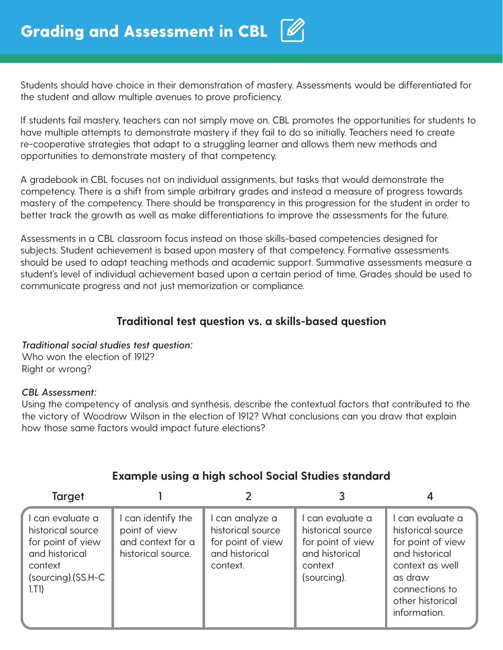Students should have choice in their demonstration of mastery. Assessments would be differentiated for the student and allow multiple avenues to prove proficiency.

If students fail mastery, teachers can not simply move on. CBL promotes the opportunities for students to have multiple attempts to demonstrate mastery if they fail to do so initially. Teachers need to create re-cooperative strategies that adapt to a struggling learner and allows them new methods and opportunities to demonstrate mastery of that competency.

A gradebook in CBL focuses not on individual assignments, but tasks that would demonstrate the competency. There is a shift from simple arbitrary grades and instead a measure of progress towards mastery of the competency. There should be transparency in this progression for the student in order to better track the growth as well as make differentiations to improve the assessments for the future.

Assessments in a CBL classroom focus instead on those skills-based competencies designed for subjects. Student achievement is based upon mastery of that competency. Formative assessments should be used to adapt teaching methods and academic support. Summative assessments measure a student's level of individual achievement based upon a certain period of time. Grades should be used to communicate progress and not just memorization or compliance.

#### **Traditional test question vs. a skills-based question**

*Traditional social studies test question:* 

Who won the election of 1912? Right or wrong?

#### *CBL Assessment:*

Using the competency of analysis and synthesis, describe the contextual factors that contributed to the the victory of Woodrow Wilson in the election of 1912? What conclusions can you draw that explain how those same factors would impact future elections?

| <b>Target</b>                                                                                                       |                                                                              |                                                                                         |                                                                                                        |                                                                                                                                                                  |
|---------------------------------------------------------------------------------------------------------------------|------------------------------------------------------------------------------|-----------------------------------------------------------------------------------------|--------------------------------------------------------------------------------------------------------|------------------------------------------------------------------------------------------------------------------------------------------------------------------|
| l can evaluate a<br>historical source<br>for point of view<br>and historical<br>context<br>(sourcing).(SS.H-C<br> T | can identify the<br>point of view<br>and context for a<br>historical source. | l can analyze a<br>historical source<br>for point of view<br>and historical<br>context. | l can evaluate a<br>historical source<br>for point of view<br>and historical<br>context<br>(sourcing). | I can evaluate a<br>historical source<br>for point of view<br>and historical<br>context as well<br>as draw<br>connections to<br>other historical<br>information. |

#### **Example using a high school Social Studies standard**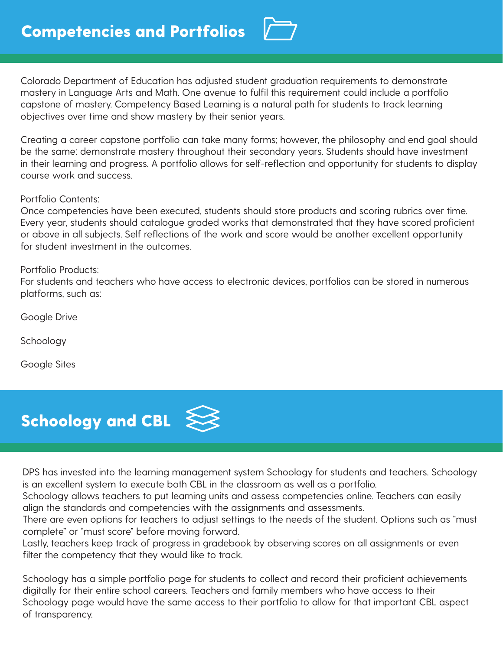

Colorado Department of Education has adjusted student graduation requirements to demonstrate mastery in Language Arts and Math. One avenue to fulfil this requirement could include a portfolio capstone of mastery. Competency Based Learning is a natural path for students to track learning objectives over time and show mastery by their senior years.

Creating a career capstone portfolio can take many forms; however, the philosophy and end goal should be the same: demonstrate mastery throughout their secondary years. Students should have investment in their learning and progress. A portfolio allows for self-reflection and opportunity for students to display course work and success.

#### Portfolio Contents:

Once competencies have been executed, students should store products and scoring rubrics over time. Every year, students should catalogue graded works that demonstrated that they have scored proficient or above in all subjects. Self reflections of the work and score would be another excellent opportunity for student investment in the outcomes.

#### Portfolio Products:

For students and teachers who have access to electronic devices, portfolios can be stored in numerous platforms, such as:

Google Drive

Schoology

Google Sites



DPS has invested into the learning management system Schoology for students and teachers. Schoology is an excellent system to execute both CBL in the classroom as well as a portfolio.

Schoology allows teachers to put learning units and assess competencies online. Teachers can easily align the standards and competencies with the assignments and assessments.

There are even options for teachers to adjust settings to the needs of the student. Options such as "must complete" or "must score" before moving forward.

Lastly, teachers keep track of progress in gradebook by observing scores on all assignments or even filter the competency that they would like to track.

Schoology has a simple portfolio page for students to collect and record their proficient achievements digitally for their entire school careers. Teachers and family members who have access to their Schoology page would have the same access to their portfolio to allow for that important CBL aspect of transparency.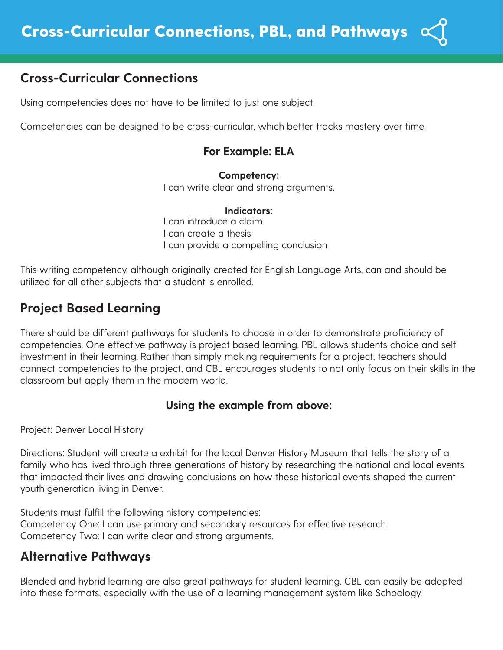## **Cross-Curricular Connections**

Using competencies does not have to be limited to just one subject.

Competencies can be designed to be cross-curricular, which better tracks mastery over time.

#### **For Example: ELA**

**Competency:**  I can write clear and strong arguments.

#### **Indicators:**

I can introduce a claim I can create a thesis I can provide a compelling conclusion

This writing competency, although originally created for English Language Arts, can and should be utilized for all other subjects that a student is enrolled.

## **Project Based Learning**

There should be different pathways for students to choose in order to demonstrate proficiency of competencies. One effective pathway is project based learning. PBL allows students choice and self investment in their learning. Rather than simply making requirements for a project, teachers should connect competencies to the project, and CBL encourages students to not only focus on their skills in the classroom but apply them in the modern world.

#### **Using the example from above:**

Project: Denver Local History

Directions: Student will create a exhibit for the local Denver History Museum that tells the story of a family who has lived through three generations of history by researching the national and local events that impacted their lives and drawing conclusions on how these historical events shaped the current youth generation living in Denver.

Students must fulfill the following history competencies: Competency One: I can use primary and secondary resources for effective research. Competency Two: I can write clear and strong arguments.

### **Alternative Pathways**

Blended and hybrid learning are also great pathways for student learning. CBL can easily be adopted into these formats, especially with the use of a learning management system like Schoology.